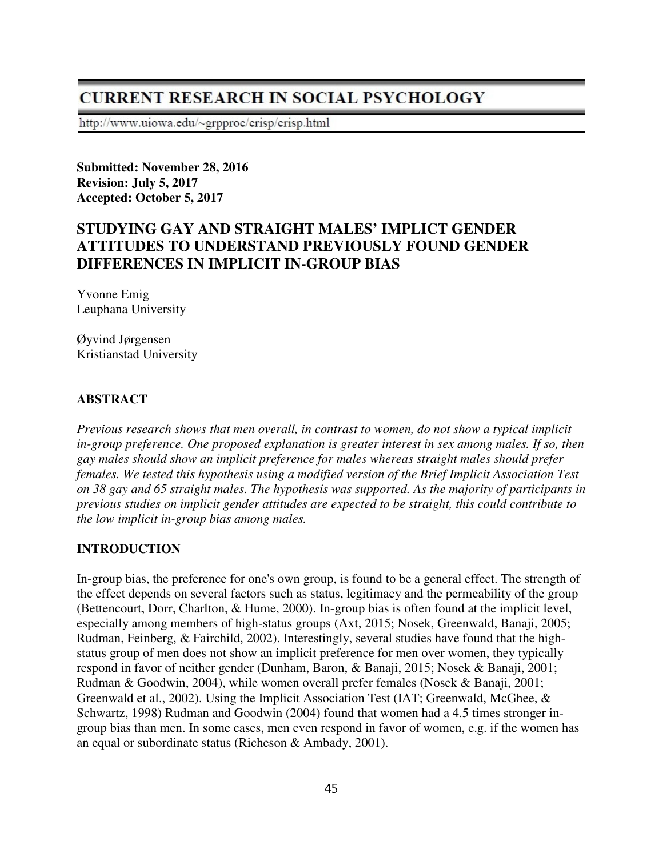# **CURRENT RESEARCH IN SOCIAL PSYCHOLOGY**

http://www.uiowa.edu/~grpproc/crisp/crisp.html

**Submitted: November 28, 2016 Revision: July 5, 2017 Accepted: October 5, 2017** 

# **STUDYING GAY AND STRAIGHT MALES' IMPLICT GENDER ATTITUDES TO UNDERSTAND PREVIOUSLY FOUND GENDER DIFFERENCES IN IMPLICIT IN-GROUP BIAS**

Yvonne Emig Leuphana University

Øyvind Jørgensen Kristianstad University

### **ABSTRACT**

*Previous research shows that men overall, in contrast to women, do not show a typical implicit*  in-group preference. One proposed explanation is greater interest in sex among males. If so, then *gay males should show an implicit preference for males whereas straight males should prefer females. We tested this hypothesis using a modified version of the Brief Implicit Association Test on 38 gay and 65 straight males. The hypothesis was supported. As the majority of participants in previous studies on implicit gender attitudes are expected to be straight, this could contribute to the low implicit in-group bias among males.* 

### **INTRODUCTION**

In-group bias, the preference for one's own group, is found to be a general effect. The strength of the effect depends on several factors such as status, legitimacy and the permeability of the group (Bettencourt, Dorr, Charlton, & Hume, 2000). In-group bias is often found at the implicit level, especially among members of high-status groups (Axt, 2015; Nosek, Greenwald, Banaji, 2005; Rudman, Feinberg, & Fairchild, 2002). Interestingly, several studies have found that the highstatus group of men does not show an implicit preference for men over women, they typically respond in favor of neither gender (Dunham, Baron, & Banaji, 2015; Nosek & Banaji, 2001; Rudman & Goodwin, 2004), while women overall prefer females (Nosek & Banaji, 2001; Greenwald et al., 2002). Using the Implicit Association Test (IAT; Greenwald, McGhee, & Schwartz, 1998) Rudman and Goodwin (2004) found that women had a 4.5 times stronger ingroup bias than men. In some cases, men even respond in favor of women, e.g. if the women has an equal or subordinate status (Richeson & Ambady, 2001).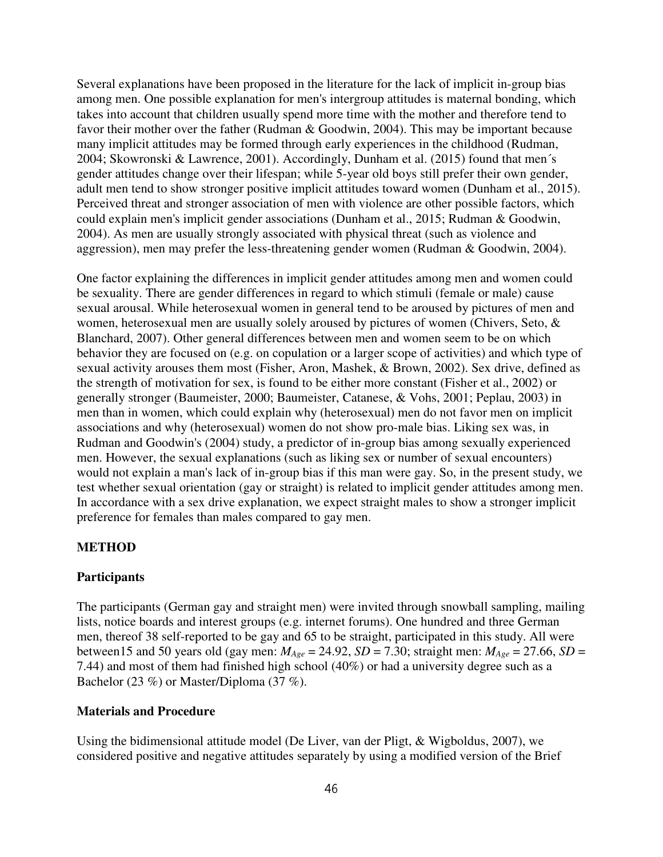Several explanations have been proposed in the literature for the lack of implicit in-group bias among men. One possible explanation for men's intergroup attitudes is maternal bonding, which takes into account that children usually spend more time with the mother and therefore tend to favor their mother over the father (Rudman & Goodwin, 2004). This may be important because many implicit attitudes may be formed through early experiences in the childhood (Rudman, 2004; Skowronski & Lawrence, 2001). Accordingly, Dunham et al. (2015) found that men´s gender attitudes change over their lifespan; while 5-year old boys still prefer their own gender, adult men tend to show stronger positive implicit attitudes toward women (Dunham et al., 2015). Perceived threat and stronger association of men with violence are other possible factors, which could explain men's implicit gender associations (Dunham et al., 2015; Rudman & Goodwin, 2004). As men are usually strongly associated with physical threat (such as violence and aggression), men may prefer the less-threatening gender women (Rudman & Goodwin, 2004).

One factor explaining the differences in implicit gender attitudes among men and women could be sexuality. There are gender differences in regard to which stimuli (female or male) cause sexual arousal. While heterosexual women in general tend to be aroused by pictures of men and women, heterosexual men are usually solely aroused by pictures of women (Chivers, Seto, & Blanchard, 2007). Other general differences between men and women seem to be on which behavior they are focused on (e.g. on copulation or a larger scope of activities) and which type of sexual activity arouses them most (Fisher, Aron, Mashek, & Brown, 2002). Sex drive, defined as the strength of motivation for sex, is found to be either more constant (Fisher et al., 2002) or generally stronger (Baumeister, 2000; Baumeister, Catanese, & Vohs, 2001; Peplau, 2003) in men than in women, which could explain why (heterosexual) men do not favor men on implicit associations and why (heterosexual) women do not show pro-male bias. Liking sex was, in Rudman and Goodwin's (2004) study, a predictor of in-group bias among sexually experienced men. However, the sexual explanations (such as liking sex or number of sexual encounters) would not explain a man's lack of in-group bias if this man were gay. So, in the present study, we test whether sexual orientation (gay or straight) is related to implicit gender attitudes among men. In accordance with a sex drive explanation, we expect straight males to show a stronger implicit preference for females than males compared to gay men.

### **METHOD**

### **Participants**

The participants (German gay and straight men) were invited through snowball sampling, mailing lists, notice boards and interest groups (e.g. internet forums). One hundred and three German men, thereof 38 self-reported to be gay and 65 to be straight, participated in this study. All were between15 and 50 years old (gay men:  $M_{Age} = 24.92$ ,  $SD = 7.30$ ; straight men:  $M_{Age} = 27.66$ ,  $SD =$ 7.44) and most of them had finished high school (40%) or had a university degree such as a Bachelor (23 %) or Master/Diploma (37 %).

#### **Materials and Procedure**

Using the bidimensional attitude model (De Liver, van der Pligt, & Wigboldus, 2007), we considered positive and negative attitudes separately by using a modified version of the Brief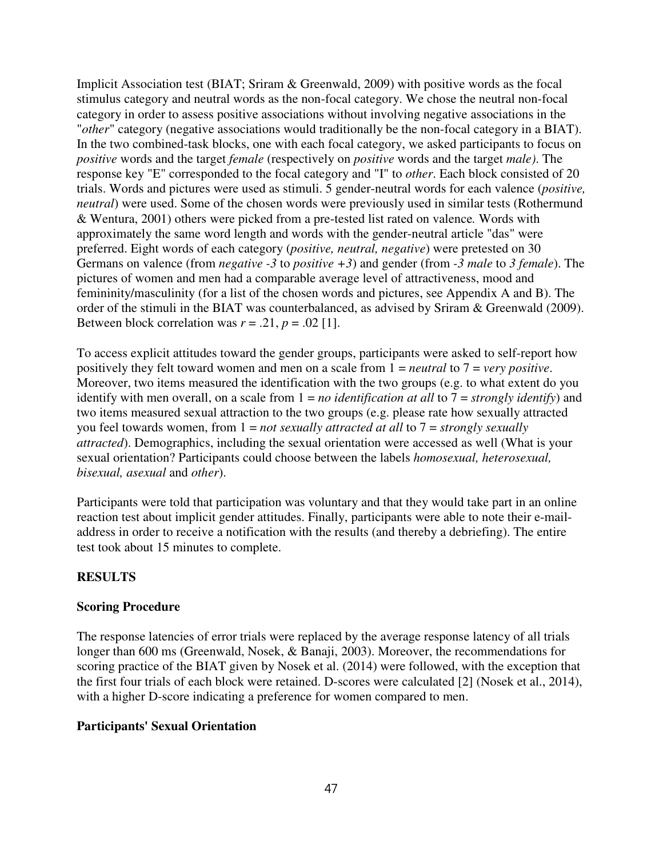Implicit Association test (BIAT; Sriram & Greenwald, 2009) with positive words as the focal stimulus category and neutral words as the non-focal category. We chose the neutral non-focal category in order to assess positive associations without involving negative associations in the "*other*" category (negative associations would traditionally be the non-focal category in a BIAT). In the two combined-task blocks, one with each focal category, we asked participants to focus on *positive* words and the target *female* (respectively on *positive* words and the target *male)*. The response key "E" corresponded to the focal category and "I" to *other*. Each block consisted of 20 trials. Words and pictures were used as stimuli. 5 gender-neutral words for each valence (*positive, neutral*) were used. Some of the chosen words were previously used in similar tests (Rothermund & Wentura, 2001) others were picked from a pre-tested list rated on valence*.* Words with approximately the same word length and words with the gender-neutral article "das" were preferred. Eight words of each category (*positive, neutral, negative*) were pretested on 30 Germans on valence (from *negative -3* to *positive +3*) and gender (from *-3 male* to *3 female*). The pictures of women and men had a comparable average level of attractiveness, mood and femininity/masculinity (for a list of the chosen words and pictures, see Appendix A and B). The order of the stimuli in the BIAT was counterbalanced, as advised by Sriram & Greenwald (2009). Between block correlation was  $r = .21$ ,  $p = .02$  [1].

To access explicit attitudes toward the gender groups, participants were asked to self-report how positively they felt toward women and men on a scale from 1 = *neutral* to 7 = *very positive*. Moreover, two items measured the identification with the two groups (e.g. to what extent do you identify with men overall, on a scale from 1 = *no identification at all* to 7 = *strongly identify*) and two items measured sexual attraction to the two groups (e.g. please rate how sexually attracted you feel towards women, from 1 = *not sexually attracted at all* to 7 = *strongly sexually attracted*). Demographics, including the sexual orientation were accessed as well (What is your sexual orientation? Participants could choose between the labels *homosexual, heterosexual, bisexual, asexual* and *other*).

Participants were told that participation was voluntary and that they would take part in an online reaction test about implicit gender attitudes. Finally, participants were able to note their e-mailaddress in order to receive a notification with the results (and thereby a debriefing). The entire test took about 15 minutes to complete.

### **RESULTS**

### **Scoring Procedure**

The response latencies of error trials were replaced by the average response latency of all trials longer than 600 ms (Greenwald, Nosek, & Banaji, 2003). Moreover, the recommendations for scoring practice of the BIAT given by Nosek et al. (2014) were followed, with the exception that the first four trials of each block were retained. D-scores were calculated [2] (Nosek et al., 2014), with a higher D-score indicating a preference for women compared to men.

## **Participants' Sexual Orientation**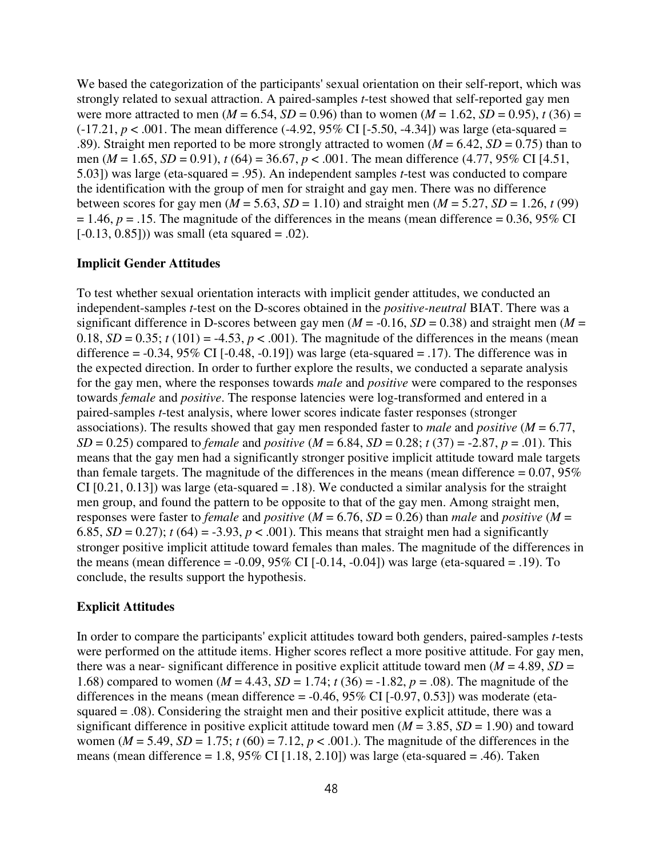We based the categorization of the participants' sexual orientation on their self-report, which was strongly related to sexual attraction. A paired-samples *t*-test showed that self-reported gay men were more attracted to men ( $M = 6.54$ ,  $SD = 0.96$ ) than to women ( $M = 1.62$ ,  $SD = 0.95$ ),  $t(36) =$  $(-17.21, p < .001$ . The mean difference  $(-4.92, 95\%$  CI  $[-5.50, -4.34]$ ) was large (eta-squared = .89). Straight men reported to be more strongly attracted to women ( $M = 6.42$ ,  $SD = 0.75$ ) than to men (*M* = 1.65, *SD* = 0.91), *t* (64) = 36.67, *p* < .001. The mean difference (4.77, 95% CI [4.51, 5.03]) was large (eta-squared = .95). An independent samples *t*-test was conducted to compare the identification with the group of men for straight and gay men. There was no difference between scores for gay men ( $M = 5.63$ ,  $SD = 1.10$ ) and straight men ( $M = 5.27$ ,  $SD = 1.26$ ,  $t(99)$ )  $= 1.46$ ,  $p = .15$ . The magnitude of the differences in the means (mean difference  $= 0.36$ , 95% CI  $[-0.13, 0.85])$  was small (eta squared = .02).

#### **Implicit Gender Attitudes**

To test whether sexual orientation interacts with implicit gender attitudes, we conducted an independent-samples *t*-test on the D-scores obtained in the *positive-neutral* BIAT. There was a significant difference in D-scores between gay men ( $M = -0.16$ ,  $SD = 0.38$ ) and straight men ( $M =$ 0.18,  $SD = 0.35$ ;  $t(101) = -4.53$ ,  $p < .001$ ). The magnitude of the differences in the means (mean difference =  $-0.34$ ,  $95\%$  CI  $[-0.48, -0.19]$  was large (eta-squared = .17). The difference was in the expected direction. In order to further explore the results, we conducted a separate analysis for the gay men, where the responses towards *male* and *positive* were compared to the responses towards *female* and *positive*. The response latencies were log-transformed and entered in a paired-samples *t*-test analysis, where lower scores indicate faster responses (stronger associations). The results showed that gay men responded faster to *male* and *positive* (*M* = 6.77, *SD* = 0.25) compared to *female* and *positive* ( $M = 6.84$ ,  $SD = 0.28$ ;  $t(37) = -2.87$ ,  $p = .01$ ). This means that the gay men had a significantly stronger positive implicit attitude toward male targets than female targets. The magnitude of the differences in the means (mean difference  $= 0.07, 95\%$ CI  $[0.21, 0.13]$  was large (eta-squared = .18). We conducted a similar analysis for the straight men group, and found the pattern to be opposite to that of the gay men. Among straight men, responses were faster to *female* and *positive* (*M* = 6.76, *SD* = 0.26) than *male* and *positive* (*M* = 6.85,  $SD = 0.27$ ;  $t(64) = -3.93$ ,  $p < .001$ ). This means that straight men had a significantly stronger positive implicit attitude toward females than males. The magnitude of the differences in the means (mean difference  $= -0.09, 95\%$  CI  $[-0.14, -0.04]$ ) was large (eta-squared  $= .19$ ). To conclude, the results support the hypothesis.

#### **Explicit Attitudes**

In order to compare the participants' explicit attitudes toward both genders, paired-samples *t*-tests were performed on the attitude items. Higher scores reflect a more positive attitude. For gay men, there was a near- significant difference in positive explicit attitude toward men  $(M = 4.89, SD =$ 1.68) compared to women ( $M = 4.43$ ,  $SD = 1.74$ ;  $t(36) = -1.82$ ,  $p = .08$ ). The magnitude of the differences in the means (mean difference =  $-0.46$ ,  $95\%$  CI  $[-0.97, 0.53]$ ) was moderate (etasquared = .08). Considering the straight men and their positive explicit attitude, there was a significant difference in positive explicit attitude toward men  $(M = 3.85, SD = 1.90)$  and toward women ( $M = 5.49$ ,  $SD = 1.75$ ;  $t (60) = 7.12$ ,  $p < .001$ .). The magnitude of the differences in the means (mean difference = 1.8,  $95\%$  CI [1.18, 2.10]) was large (eta-squared = .46). Taken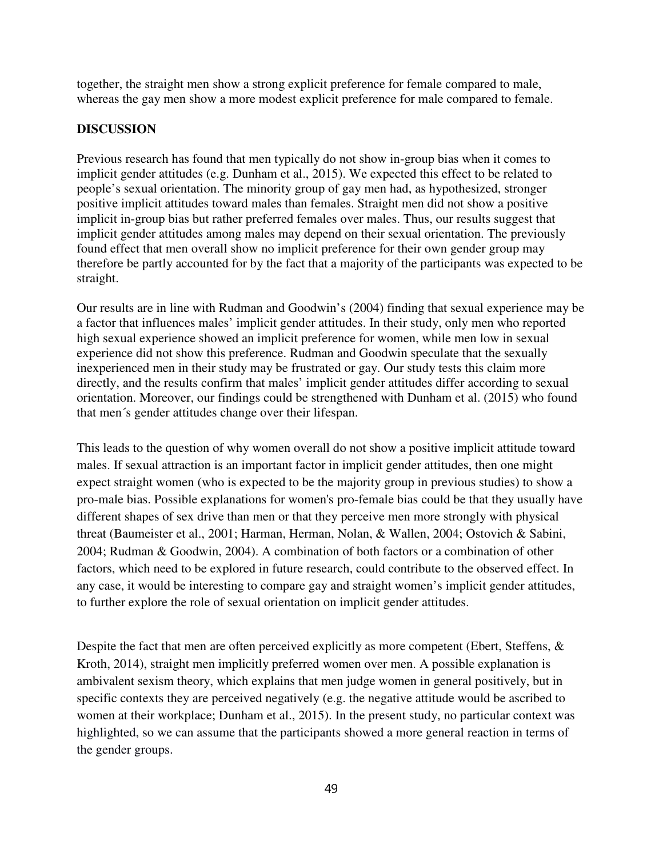together, the straight men show a strong explicit preference for female compared to male, whereas the gay men show a more modest explicit preference for male compared to female.

### **DISCUSSION**

Previous research has found that men typically do not show in-group bias when it comes to implicit gender attitudes (e.g. Dunham et al., 2015). We expected this effect to be related to people's sexual orientation. The minority group of gay men had, as hypothesized, stronger positive implicit attitudes toward males than females. Straight men did not show a positive implicit in-group bias but rather preferred females over males. Thus, our results suggest that implicit gender attitudes among males may depend on their sexual orientation. The previously found effect that men overall show no implicit preference for their own gender group may therefore be partly accounted for by the fact that a majority of the participants was expected to be straight.

Our results are in line with Rudman and Goodwin's (2004) finding that sexual experience may be a factor that influences males' implicit gender attitudes. In their study, only men who reported high sexual experience showed an implicit preference for women, while men low in sexual experience did not show this preference. Rudman and Goodwin speculate that the sexually inexperienced men in their study may be frustrated or gay. Our study tests this claim more directly, and the results confirm that males' implicit gender attitudes differ according to sexual orientation. Moreover, our findings could be strengthened with Dunham et al. (2015) who found that men´s gender attitudes change over their lifespan.

This leads to the question of why women overall do not show a positive implicit attitude toward males. If sexual attraction is an important factor in implicit gender attitudes, then one might expect straight women (who is expected to be the majority group in previous studies) to show a pro-male bias. Possible explanations for women's pro-female bias could be that they usually have different shapes of sex drive than men or that they perceive men more strongly with physical threat (Baumeister et al., 2001; Harman, Herman, Nolan, & Wallen, 2004; Ostovich & Sabini, 2004; Rudman & Goodwin, 2004). A combination of both factors or a combination of other factors, which need to be explored in future research, could contribute to the observed effect. In any case, it would be interesting to compare gay and straight women's implicit gender attitudes, to further explore the role of sexual orientation on implicit gender attitudes.

Despite the fact that men are often perceived explicitly as more competent (Ebert, Steffens, & Kroth, 2014), straight men implicitly preferred women over men. A possible explanation is ambivalent sexism theory, which explains that men judge women in general positively, but in specific contexts they are perceived negatively (e.g. the negative attitude would be ascribed to women at their workplace; Dunham et al., 2015). In the present study, no particular context was highlighted, so we can assume that the participants showed a more general reaction in terms of the gender groups.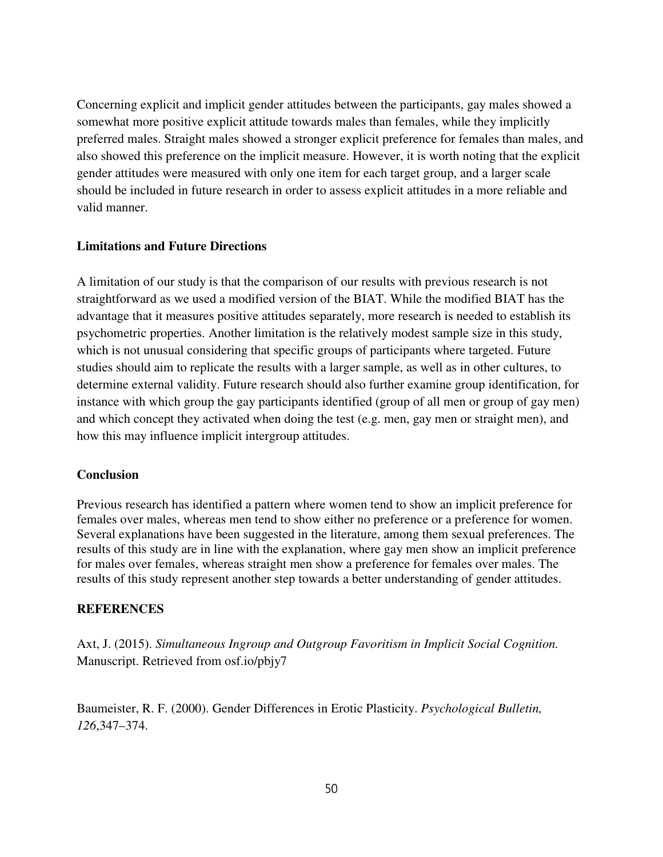Concerning explicit and implicit gender attitudes between the participants, gay males showed a somewhat more positive explicit attitude towards males than females, while they implicitly preferred males. Straight males showed a stronger explicit preference for females than males, and also showed this preference on the implicit measure. However, it is worth noting that the explicit gender attitudes were measured with only one item for each target group, and a larger scale should be included in future research in order to assess explicit attitudes in a more reliable and valid manner.

### **Limitations and Future Directions**

A limitation of our study is that the comparison of our results with previous research is not straightforward as we used a modified version of the BIAT. While the modified BIAT has the advantage that it measures positive attitudes separately, more research is needed to establish its psychometric properties. Another limitation is the relatively modest sample size in this study, which is not unusual considering that specific groups of participants where targeted. Future studies should aim to replicate the results with a larger sample, as well as in other cultures, to determine external validity. Future research should also further examine group identification, for instance with which group the gay participants identified (group of all men or group of gay men) and which concept they activated when doing the test (e.g. men, gay men or straight men), and how this may influence implicit intergroup attitudes.

#### **Conclusion**

Previous research has identified a pattern where women tend to show an implicit preference for females over males, whereas men tend to show either no preference or a preference for women. Several explanations have been suggested in the literature, among them sexual preferences. The results of this study are in line with the explanation, where gay men show an implicit preference for males over females, whereas straight men show a preference for females over males. The results of this study represent another step towards a better understanding of gender attitudes.

#### **REFERENCES**

Axt, J. (2015). *Simultaneous Ingroup and Outgroup Favoritism in Implicit Social Cognition.* Manuscript. Retrieved from osf.io/pbjy7

Baumeister, R. F. (2000). Gender Differences in Erotic Plasticity. *Psychological Bulletin, 126*,347–374.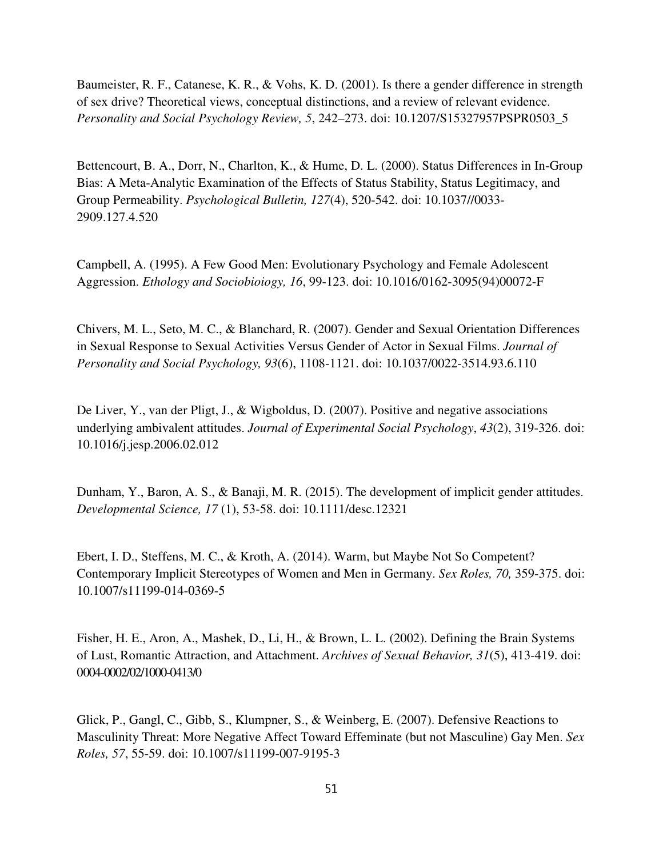Baumeister, R. F., Catanese, K. R., & Vohs, K. D. (2001). Is there a gender difference in strength of sex drive? Theoretical views, conceptual distinctions, and a review of relevant evidence. *Personality and Social Psychology Review, 5*, 242–273. doi: 10.1207/S15327957PSPR0503\_5

Bettencourt, B. A., Dorr, N., Charlton, K., & Hume, D. L. (2000). Status Differences in In-Group Bias: A Meta-Analytic Examination of the Effects of Status Stability, Status Legitimacy, and Group Permeability. *Psychological Bulletin, 127*(4), 520-542. doi: 10.1037//0033- 2909.127.4.520

Campbell, A. (1995). A Few Good Men: Evolutionary Psychology and Female Adolescent Aggression. *Ethology and Sociobioiogy, 16*, 99-123. doi: 10.1016/0162-3095(94)00072-F

Chivers, M. L., Seto, M. C., & Blanchard, R. (2007). Gender and Sexual Orientation Differences in Sexual Response to Sexual Activities Versus Gender of Actor in Sexual Films. *Journal of Personality and Social Psychology, 93*(6), 1108-1121. doi: 10.1037/0022-3514.93.6.110

De Liver, Y., van der Pligt, J., & Wigboldus, D. (2007). Positive and negative associations underlying ambivalent attitudes. *Journal of Experimental Social Psychology*, *43*(2), 319-326. doi: 10.1016/j.jesp.2006.02.012

Dunham, Y., Baron, A. S., & Banaji, M. R. (2015). The development of implicit gender attitudes. *Developmental Science, 17* (1), 53-58. doi: 10.1111/desc.12321

Ebert, I. D., Steffens, M. C., & Kroth, A. (2014). Warm, but Maybe Not So Competent? Contemporary Implicit Stereotypes of Women and Men in Germany. *Sex Roles, 70,* 359-375. doi: 10.1007/s11199-014-0369-5

Fisher, H. E., Aron, A., Mashek, D., Li, H., & Brown, L. L. (2002). Defining the Brain Systems of Lust, Romantic Attraction, and Attachment. *Archives of Sexual Behavior, 31*(5), 413-419. doi: 0004-0002/02/1000-0413/0

Glick, P., Gangl, C., Gibb, S., Klumpner, S., & Weinberg, E. (2007). Defensive Reactions to Masculinity Threat: More Negative Affect Toward Effeminate (but not Masculine) Gay Men. *Sex Roles, 57*, 55-59. doi: 10.1007/s11199-007-9195-3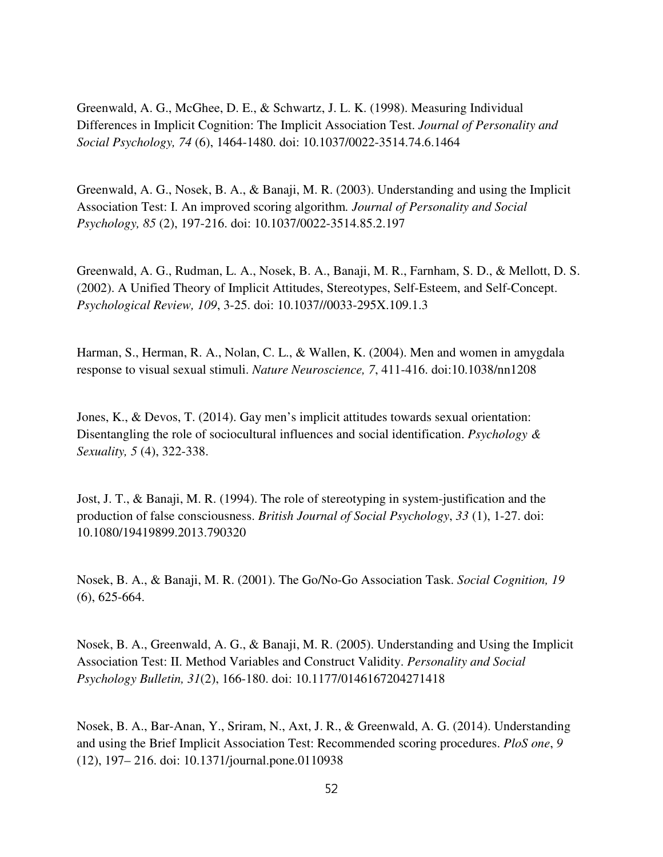Greenwald, A. G., McGhee, D. E., & Schwartz, J. L. K. (1998). Measuring Individual Differences in Implicit Cognition: The Implicit Association Test. *Journal of Personality and Social Psychology, 74* (6), 1464-1480. doi: 10.1037/0022-3514.74.6.1464

Greenwald, A. G., Nosek, B. A., & Banaji, M. R. (2003). Understanding and using the Implicit Association Test: I. An improved scoring algorithm*. Journal of Personality and Social Psychology, 85* (2), 197-216. doi: 10.1037/0022-3514.85.2.197

Greenwald, A. G., Rudman, L. A., Nosek, B. A., Banaji, M. R., Farnham, S. D., & Mellott, D. S. (2002). A Unified Theory of Implicit Attitudes, Stereotypes, Self-Esteem, and Self-Concept. *Psychological Review, 109*, 3-25. doi: 10.1037//0033-295X.109.1.3

Harman, S., Herman, R. A., Nolan, C. L., & Wallen, K. (2004). Men and women in amygdala response to visual sexual stimuli. *Nature Neuroscience, 7*, 411-416. doi:10.1038/nn1208

Jones, K., & Devos, T. (2014). Gay men's implicit attitudes towards sexual orientation: Disentangling the role of sociocultural influences and social identification. *Psychology & Sexuality, 5* (4), 322-338.

Jost, J. T., & Banaji, M. R. (1994). The role of stereotyping in system-justification and the production of false consciousness. *British Journal of Social Psychology*, *33* (1), 1-27. doi: 10.1080/19419899.2013.790320

Nosek, B. A., & Banaji, M. R. (2001). The Go/No-Go Association Task. *Social Cognition, 19*  (6), 625-664.

Nosek, B. A., Greenwald, A. G., & Banaji, M. R. (2005). Understanding and Using the Implicit Association Test: II. Method Variables and Construct Validity. *Personality and Social Psychology Bulletin, 31*(2), 166-180. doi: 10.1177/0146167204271418

Nosek, B. A., Bar-Anan, Y., Sriram, N., Axt, J. R., & Greenwald, A. G. (2014). Understanding and using the Brief Implicit Association Test: Recommended scoring procedures. *PloS one*, *9*  (12), 197– 216. doi: 10.1371/journal.pone.0110938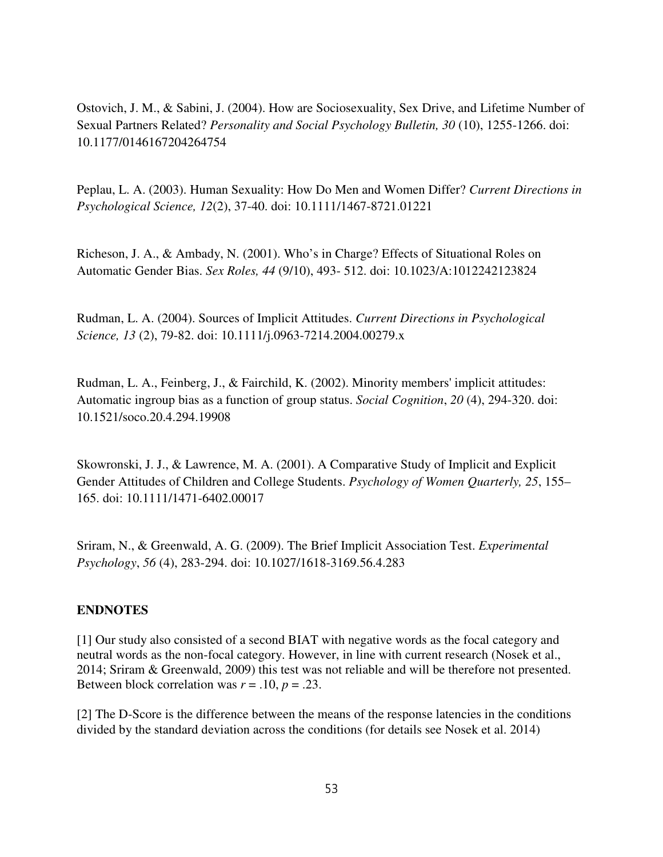Ostovich, J. M., & Sabini, J. (2004). How are Sociosexuality, Sex Drive, and Lifetime Number of Sexual Partners Related? *Personality and Social Psychology Bulletin, 30* (10), 1255-1266. doi: 10.1177/0146167204264754

Peplau, L. A. (2003). Human Sexuality: How Do Men and Women Differ? *Current Directions in Psychological Science, 12*(2), 37-40. doi: 10.1111/1467-8721.01221

Richeson, J. A., & Ambady, N. (2001). Who's in Charge? Effects of Situational Roles on Automatic Gender Bias. *Sex Roles, 44* (9/10), 493- 512. doi: 10.1023/A:1012242123824

Rudman, L. A. (2004). Sources of Implicit Attitudes. *Current Directions in Psychological Science, 13* (2), 79-82. doi: 10.1111/j.0963-7214.2004.00279.x

Rudman, L. A., Feinberg, J., & Fairchild, K. (2002). Minority members' implicit attitudes: Automatic ingroup bias as a function of group status. *Social Cognition*, *20* (4), 294-320. doi: 10.1521/soco.20.4.294.19908

Skowronski, J. J., & Lawrence, M. A. (2001). A Comparative Study of Implicit and Explicit Gender Attitudes of Children and College Students. *Psychology of Women Quarterly, 25*, 155– 165. doi: 10.1111/1471-6402.00017

Sriram, N., & Greenwald, A. G. (2009). The Brief Implicit Association Test. *Experimental Psychology*, *56* (4), 283-294. doi: 10.1027/1618-3169.56.4.283

### **ENDNOTES**

[1] Our study also consisted of a second BIAT with negative words as the focal category and neutral words as the non-focal category. However, in line with current research (Nosek et al., 2014; Sriram & Greenwald, 2009) this test was not reliable and will be therefore not presented. Between block correlation was  $r = .10$ ,  $p = .23$ .

[2] The D-Score is the difference between the means of the response latencies in the conditions divided by the standard deviation across the conditions (for details see Nosek et al. 2014)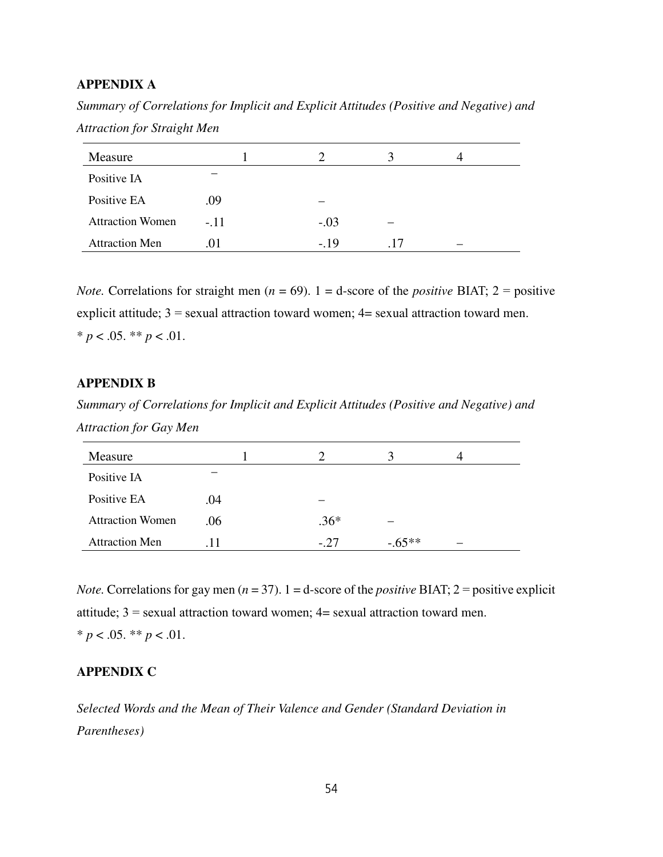### **APPENDIX A**

*Summary of Correlations for Implicit and Explicit Attitudes (Positive and Negative) and Attraction for Straight Men* 

| Measure                 |        |        | 3   |  |
|-------------------------|--------|--------|-----|--|
| Positive IA             |        |        |     |  |
| Positive EA             | .09    |        |     |  |
| <b>Attraction Women</b> | $-.11$ | $-.03$ |     |  |
| <b>Attraction Men</b>   | .01    | $-.19$ | -17 |  |

*Note.* Correlations for straight men ( $n = 69$ ). 1 = d-score of the *positive* BIAT; 2 = positive explicit attitude;  $3 =$  sexual attraction toward women;  $4 =$  sexual attraction toward men.  $* p < .05$ .  $* p < .01$ .

#### **APPENDIX B**

*Summary of Correlations for Implicit and Explicit Attitudes (Positive and Negative) and Attraction for Gay Men* 

| Measure                 |     |        |          |  |
|-------------------------|-----|--------|----------|--|
| Positive IA             |     |        |          |  |
| Positive EA             | .04 |        |          |  |
| <b>Attraction Women</b> | .06 | $.36*$ |          |  |
| <b>Attraction Men</b>   | .11 | $-.27$ | $-.65**$ |  |

*Note.* Correlations for gay men ( $n = 37$ ). 1 = d-score of the *positive* BIAT; 2 = positive explicit attitude;  $3$  = sexual attraction toward women;  $4$  = sexual attraction toward men.  $* p < .05. ** p < .01.$ 

#### **APPENDIX C**

*Selected Words and the Mean of Their Valence and Gender (Standard Deviation in Parentheses)*